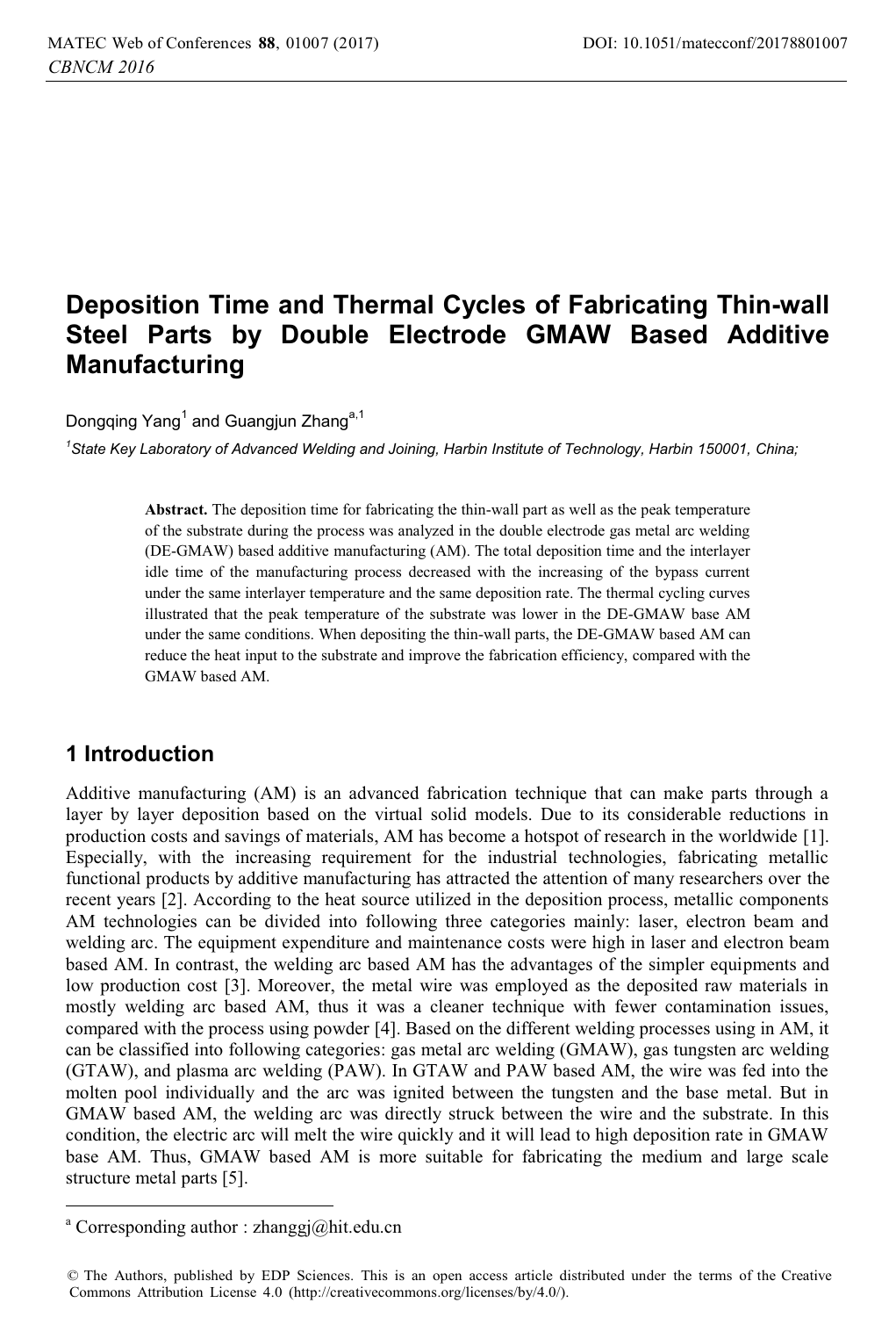# **Deposition Time and Thermal Cycles of Fabricating Thin-wall Steel Parts by Double Electrode GMAW Based Additive Manufacturing**

Dongqing Yang<sup>1</sup> and Guangjun Zhang<sup>a,1</sup>

*1 State Key Laboratory of Advanced Welding and Joining, Harbin Institute of Technology, Harbin 150001, China;* 

**Abstract.** The deposition time for fabricating the thin-wall part as well as the peak temperature of the substrate during the process was analyzed in the double electrode gas metal arc welding (DE-GMAW) based additive manufacturing (AM). The total deposition time and the interlayer idle time of the manufacturing process decreased with the increasing of the bypass current under the same interlayer temperature and the same deposition rate. The thermal cycling curves illustrated that the peak temperature of the substrate was lower in the DE-GMAW base AM under the same conditions. When depositing the thin-wall parts, the DE-GMAW based AM can reduce the heat input to the substrate and improve the fabrication efficiency, compared with the GMAW based AM.

## **1 Introduction**

 $\overline{a}$ 

Additive manufacturing (AM) is an advanced fabrication technique that can make parts through a layer by layer deposition based on the virtual solid models. Due to its considerable reductions in production costs and savings of materials, AM has become a hotspot of research in the worldwide [1]. Especially, with the increasing requirement for the industrial technologies, fabricating metallic functional products by additive manufacturing has attracted the attention of many researchers over the recent years [2]. According to the heat source utilized in the deposition process, metallic components AM technologies can be divided into following three categories mainly: laser, electron beam and welding arc. The equipment expenditure and maintenance costs were high in laser and electron beam based AM. In contrast, the welding arc based AM has the advantages of the simpler equipments and low production cost [3]. Moreover, the metal wire was employed as the deposited raw materials in mostly welding arc based AM, thus it was a cleaner technique with fewer contamination issues, compared with the process using powder [4]. Based on the different welding processes using in AM, it can be classified into following categories: gas metal arc welding (GMAW), gas tungsten arc welding (GTAW), and plasma arc welding (PAW). In GTAW and PAW based AM, the wire was fed into the molten pool individually and the arc was ignited between the tungsten and the base metal. But in GMAW based AM, the welding arc was directly struck between the wire and the substrate. In this condition, the electric arc will melt the wire quickly and it will lead to high deposition rate in GMAW base AM. Thus, GMAW based AM is more suitable for fabricating the medium and large scale structure metal parts [5].

a Corresponding author : zhanggj@hit.edu.cn

<sup>©</sup> The Authors, published by EDP Sciences. This is an open access article distributed under the terms of the Creative Commons Attribution License 4.0 (http://creativecommons.org/licenses/by/4.0/).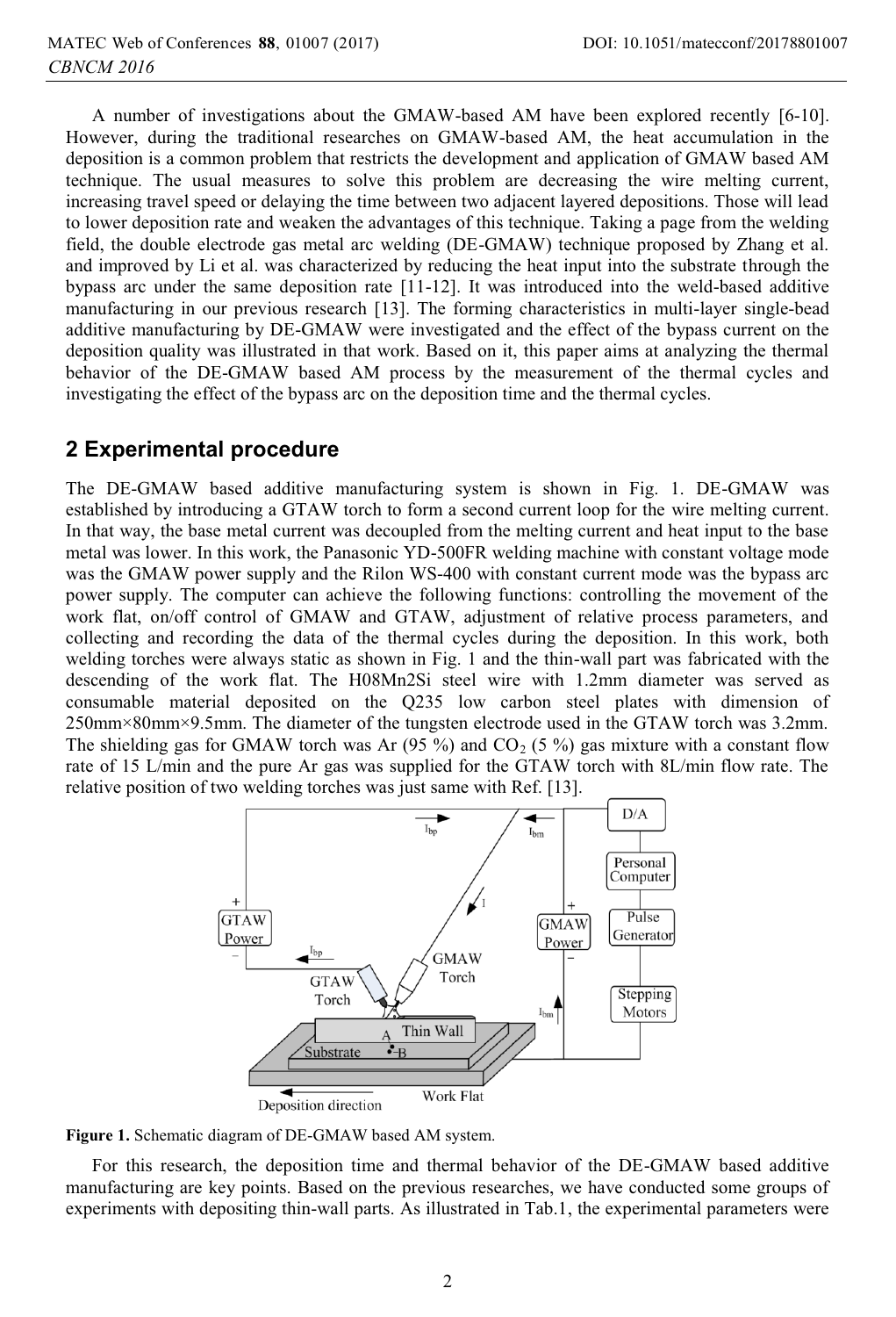A number of investigations about the GMAW-based AM have been explored recently [6-10]. However, during the traditional researches on GMAW-based AM, the heat accumulation in the deposition is a common problem that restricts the development and application of GMAW based AM technique. The usual measures to solve this problem are decreasing the wire melting current, increasing travel speed or delaying the time between two adjacent layered depositions. Those will lead to lower deposition rate and weaken the advantages of this technique. Taking a page from the welding field, the double electrode gas metal arc welding (DE-GMAW) technique proposed by Zhang et al. and improved by Li et al. was characterized by reducing the heat input into the substrate through the bypass arc under the same deposition rate [11-12]. It was introduced into the weld-based additive manufacturing in our previous research [13]. The forming characteristics in multi-layer single-bead additive manufacturing by DE-GMAW were investigated and the effect of the bypass current on the deposition quality was illustrated in that work. Based on it, this paper aims at analyzing the thermal behavior of the DE-GMAW based AM process by the measurement of the thermal cycles and investigating the effect of the bypass arc on the deposition time and the thermal cycles.

### **2 Experimental procedure**

The DE-GMAW based additive manufacturing system is shown in Fig. 1. DE-GMAW was established by introducing a GTAW torch to form a second current loop for the wire melting current. In that way, the base metal current was decoupled from the melting current and heat input to the base metal was lower. In this work, the Panasonic YD-500FR welding machine with constant voltage mode was the GMAW power supply and the Rilon WS-400 with constant current mode was the bypass arc power supply. The computer can achieve the following functions: controlling the movement of the work flat, on/off control of GMAW and GTAW, adjustment of relative process parameters, and collecting and recording the data of the thermal cycles during the deposition. In this work, both welding torches were always static as shown in Fig. 1 and the thin-wall part was fabricated with the descending of the work flat. The H08Mn2Si steel wire with 1.2mm diameter was served as consumable material deposited on the Q235 low carbon steel plates with dimension of 250mm×80mm×9.5mm. The diameter of the tungsten electrode used in the GTAW torch was 3.2mm. The shielding gas for GMAW torch was Ar  $(95\%)$  and CO<sub>2</sub> (5 %) gas mixture with a constant flow rate of 15 L/min and the pure Ar gas was supplied for the GTAW torch with 8L/min flow rate. The relative position of two welding torches was just same with Ref. [13].



**Figure 1.** Schematic diagram of DE-GMAW based AM system.

For this research, the deposition time and thermal behavior of the DE-GMAW based additive manufacturing are key points. Based on the previous researches, we have conducted some groups of experiments with depositing thin-wall parts. As illustrated in Tab.1, the experimental parameters were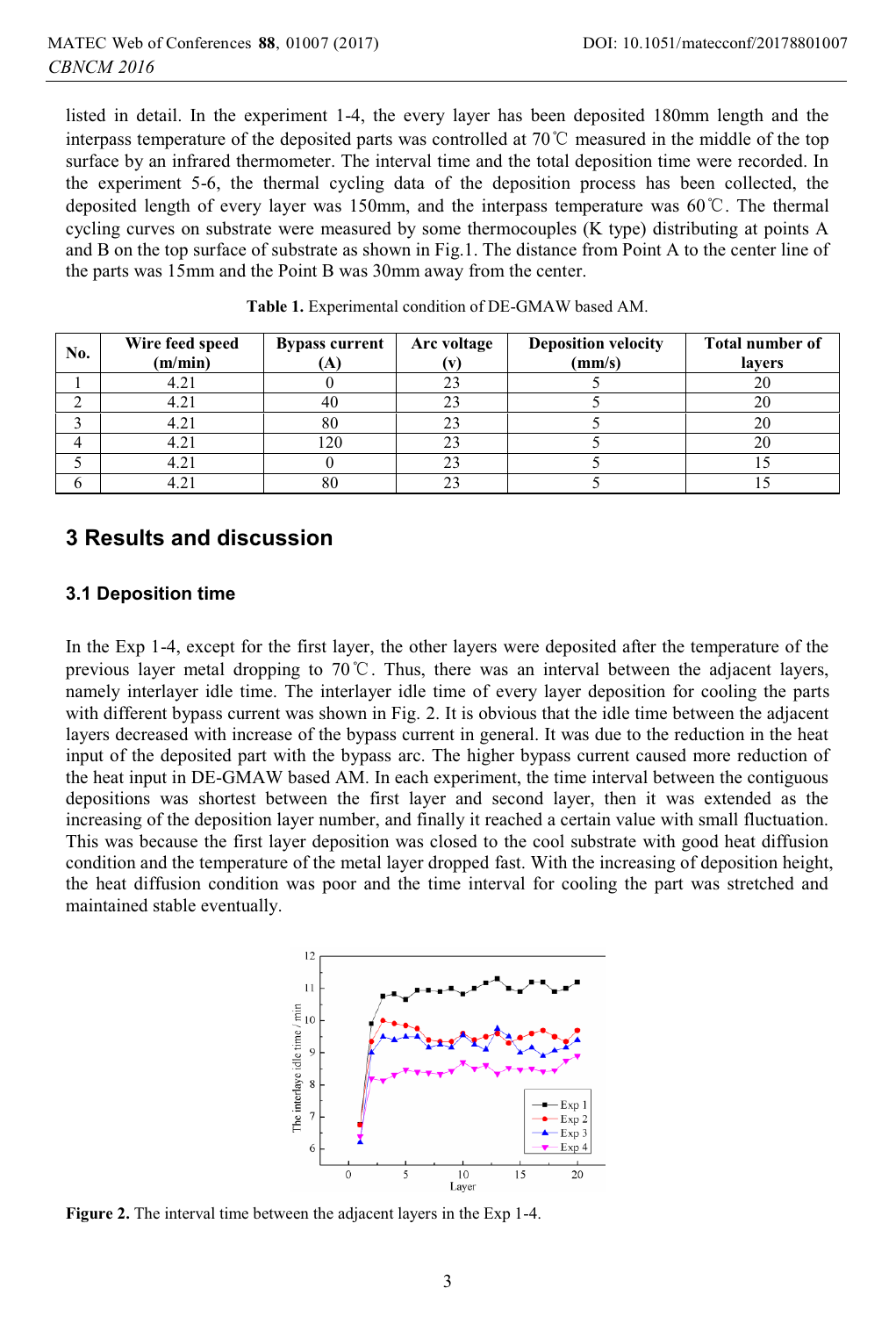listed in detail. In the experiment 1-4, the every layer has been deposited 180mm length and the interpass temperature of the deposited parts was controlled at 70 $\degree$ C measured in the middle of the top surface by an infrared thermometer. The interval time and the total deposition time were recorded. In the experiment 5-6, the thermal cycling data of the deposition process has been collected, the deposited length of every layer was 150mm, and the interpass temperature was  $60^{\circ}$ C. The thermal cycling curves on substrate were measured by some thermocouples (K type) distributing at points A and B on the top surface of substrate as shown in Fig.1. The distance from Point A to the center line of the parts was 15mm and the Point B was 30mm away from the center.

| No. | Wire feed speed<br>(m/min) | <b>Bypass current</b> | Arc voltage | <b>Deposition velocity</b><br>(mm/s) | <b>Total number of</b><br>lavers |
|-----|----------------------------|-----------------------|-------------|--------------------------------------|----------------------------------|
|     | 4.21                       |                       |             |                                      |                                  |
|     | 4.21                       | 40                    |             |                                      | 20                               |
|     | 4.21                       | 80                    |             |                                      |                                  |
|     | 4.21                       | 120                   |             |                                      |                                  |
|     | 4.21                       |                       |             |                                      |                                  |
|     | 4.21                       | 80                    |             |                                      |                                  |

**Table 1.** Experimental condition of DE-GMAW based AM.

### **3 Results and discussion**

#### **3.1 Deposition time**

In the Exp 1-4, except for the first layer, the other layers were deposited after the temperature of the previous layer metal dropping to  $70^{\circ}$ C. Thus, there was an interval between the adjacent layers, namely interlayer idle time. The interlayer idle time of every layer deposition for cooling the parts with different bypass current was shown in Fig. 2. It is obvious that the idle time between the adjacent layers decreased with increase of the bypass current in general. It was due to the reduction in the heat input of the deposited part with the bypass arc. The higher bypass current caused more reduction of the heat input in DE-GMAW based AM. In each experiment, the time interval between the contiguous depositions was shortest between the first layer and second layer, then it was extended as the increasing of the deposition layer number, and finally it reached a certain value with small fluctuation. This was because the first layer deposition was closed to the cool substrate with good heat diffusion condition and the temperature of the metal layer dropped fast. With the increasing of deposition height, the heat diffusion condition was poor and the time interval for cooling the part was stretched and maintained stable eventually.



**Figure 2.** The interval time between the adjacent layers in the Exp 1-4.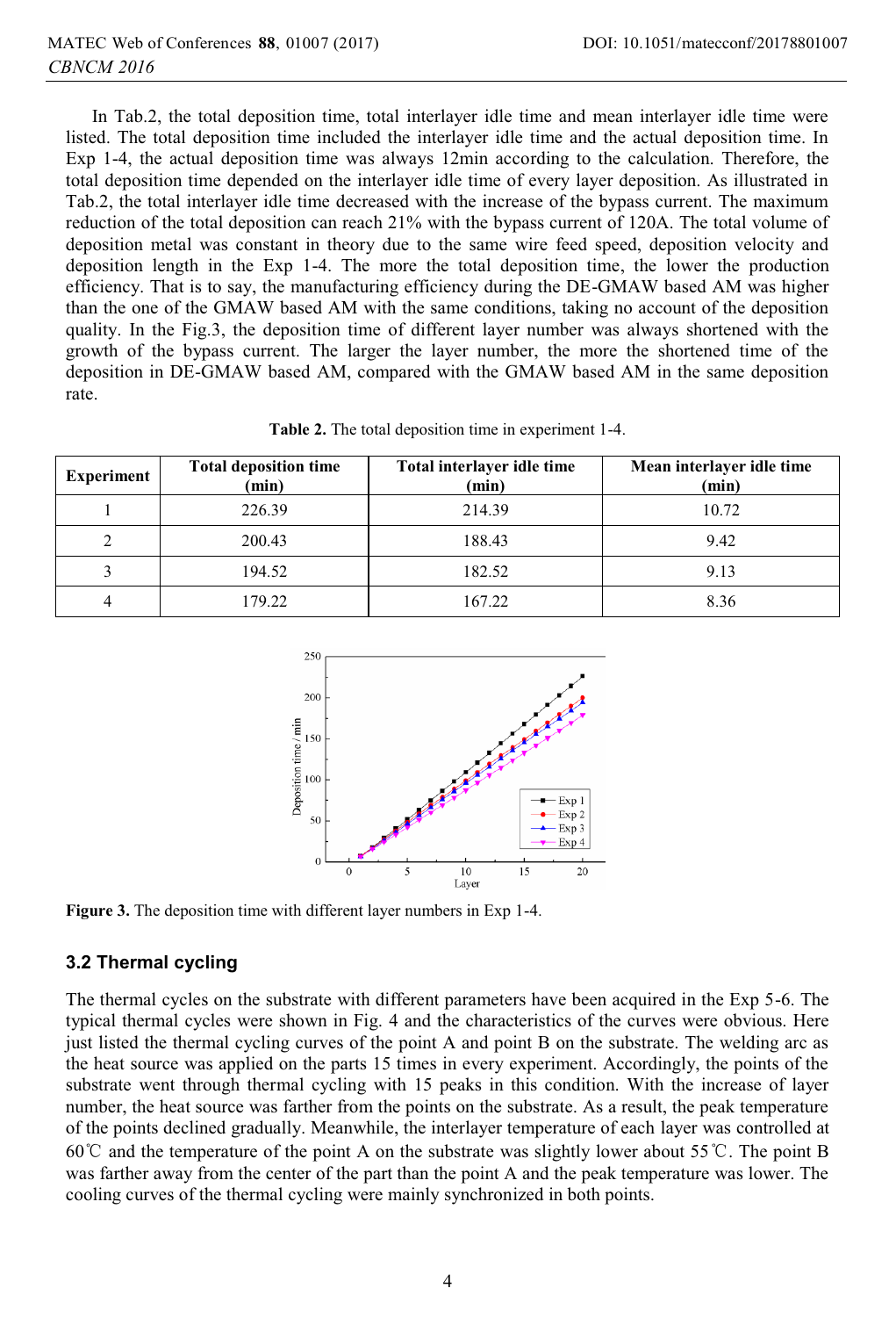In Tab.2, the total deposition time, total interlayer idle time and mean interlayer idle time were listed. The total deposition time included the interlayer idle time and the actual deposition time. In Exp 1-4, the actual deposition time was always 12min according to the calculation. Therefore, the total deposition time depended on the interlayer idle time of every layer deposition. As illustrated in Tab.2, the total interlayer idle time decreased with the increase of the bypass current. The maximum reduction of the total deposition can reach 21% with the bypass current of 120A. The total volume of deposition metal was constant in theory due to the same wire feed speed, deposition velocity and deposition length in the Exp 1-4. The more the total deposition time, the lower the production efficiency. That is to say, the manufacturing efficiency during the DE-GMAW based AM was higher than the one of the GMAW based AM with the same conditions, taking no account of the deposition quality. In the Fig.3, the deposition time of different layer number was always shortened with the growth of the bypass current. The larger the layer number, the more the shortened time of the deposition in DE-GMAW based AM, compared with the GMAW based AM in the same deposition rate.

| <b>Experiment</b> | <b>Total deposition time</b><br>(min) | Total interlayer idle time<br>(min) | Mean interlayer idle time<br>(min) |
|-------------------|---------------------------------------|-------------------------------------|------------------------------------|
|                   | 226.39                                | 214.39                              | 10.72                              |
| $\mathfrak{D}$    | 200.43                                | 188.43                              | 9.42                               |
| 3                 | 194.52                                | 182.52                              | 9.13                               |
| 4                 | 179.22                                | 167.22                              | 8.36                               |

**Table 2.** The total deposition time in experiment 1-4.



**Figure 3.** The deposition time with different layer numbers in Exp 1-4.

#### **3.2 Thermal cycling**

The thermal cycles on the substrate with different parameters have been acquired in the Exp 5-6. The typical thermal cycles were shown in Fig. 4 and the characteristics of the curves were obvious. Here just listed the thermal cycling curves of the point A and point B on the substrate. The welding arc as the heat source was applied on the parts 15 times in every experiment. Accordingly, the points of the substrate went through thermal cycling with 15 peaks in this condition. With the increase of layer number, the heat source was farther from the points on the substrate. As a result, the peak temperature of the points declined gradually. Meanwhile, the interlayer temperature of each layer was controlled at 60 $^{\circ}$ C and the temperature of the point A on the substrate was slightly lower about 55 $^{\circ}$ C. The point B was farther away from the center of the part than the point A and the peak temperature was lower. The cooling curves of the thermal cycling were mainly synchronized in both points.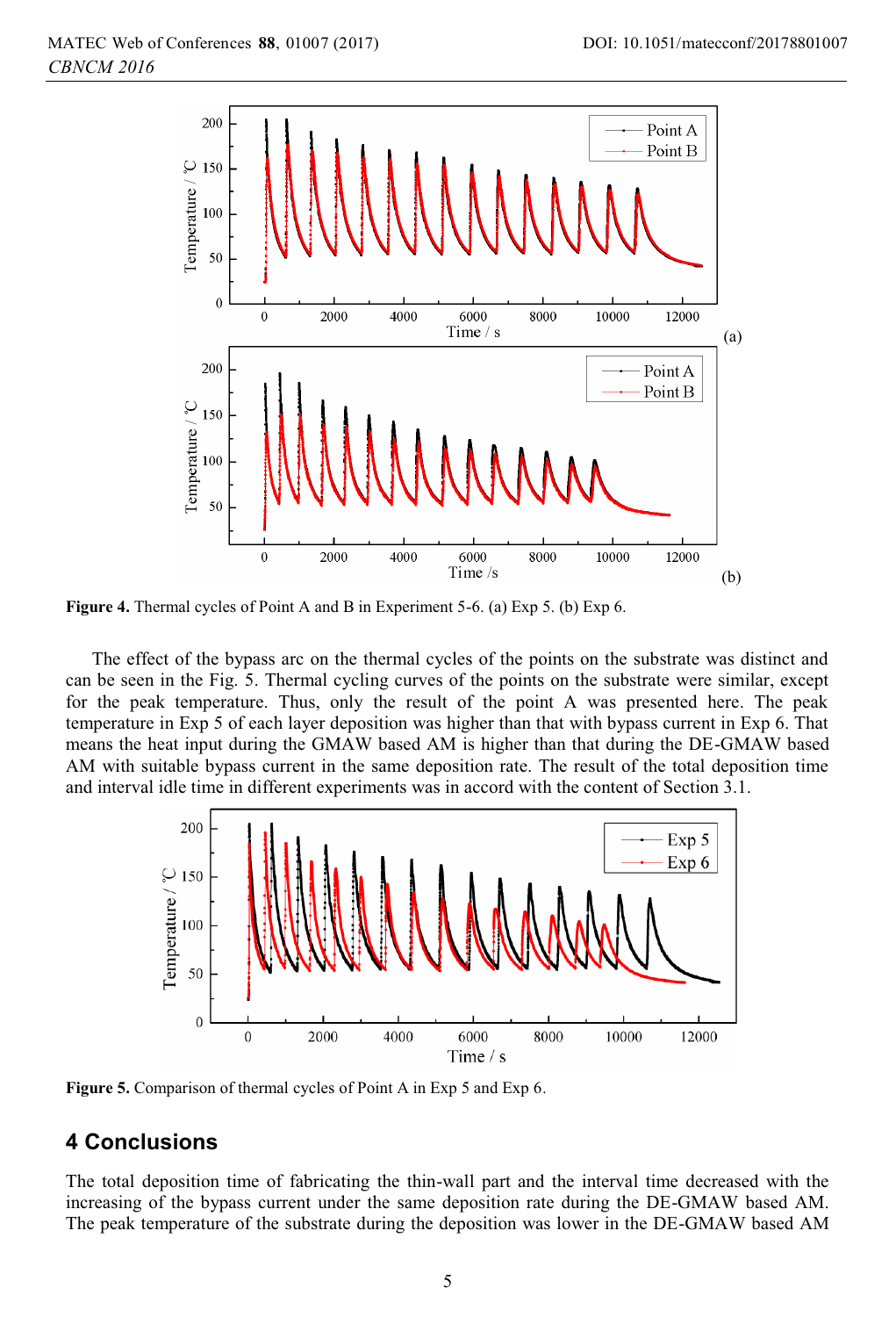

**Figure 4.** Thermal cycles of Point A and B in Experiment 5-6. (a) Exp 5. (b) Exp 6.

The effect of the bypass arc on the thermal cycles of the points on the substrate was distinct and can be seen in the Fig. 5. Thermal cycling curves of the points on the substrate were similar, except for the peak temperature. Thus, only the result of the point A was presented here. The peak temperature in Exp 5 of each layer deposition was higher than that with bypass current in Exp 6. That means the heat input during the GMAW based AM is higher than that during the DE-GMAW based AM with suitable bypass current in the same deposition rate. The result of the total deposition time and interval idle time in different experiments was in accord with the content of Section 3.1.



Figure 5. Comparison of thermal cycles of Point A in Exp 5 and Exp 6.

# **4 Conclusions**

The total deposition time of fabricating the thin-wall part and the interval time decreased with the increasing of the bypass current under the same deposition rate during the DE-GMAW based AM. The peak temperature of the substrate during the deposition was lower in the DE-GMAW based AM